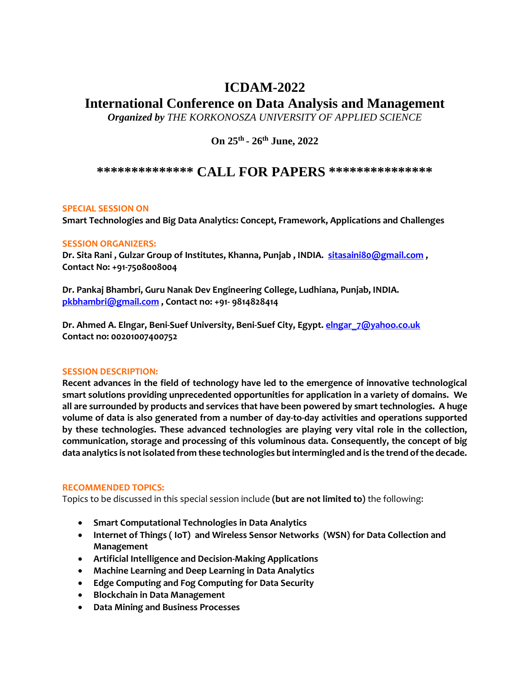# **ICDAM-2022**

# **International Conference on Data Analysis and Management**

*Organized by THE KORKONOSZA UNIVERSITY OF APPLIED SCIENCE* 

**On 25th - 26th June, 2022**

# **\*\*\*\*\*\*\*\*\*\*\*\*\*\* CALL FOR PAPERS \*\*\*\*\*\*\*\*\*\*\*\*\*\*\***

## **SPECIAL SESSION ON**

**Smart Technologies and Big Data Analytics: Concept, Framework, Applications and Challenges** 

### **SESSION ORGANIZERS:**

**Dr. Sita Rani , Gulzar Group of Institutes, Khanna, Punjab , INDIA. [sitasaini80@gmail.com](mailto:sitasaini80@gmail.com) , Contact No: +91-7508008004**

**Dr. Pankaj Bhambri, Guru Nanak Dev Engineering College, Ludhiana, Punjab, INDIA. [pkbhambri@gmail.com](mailto:pkbhambri@gmail.com) , Contact no: +91- 9814828414**

**Dr. Ahmed A. Elngar, Beni-Suef University, Beni-Suef City, Egypt[. elngar\\_7@yahoo.co.uk](mailto:elngar_7@yahoo.co.uk) Contact no: 00201007400752**

### **SESSION DESCRIPTION:**

**Recent advances in the field of technology have led to the emergence of innovative technological smart solutions providing unprecedented opportunities for application in a variety of domains. We all are surrounded by products and services that have been powered by smart technologies. A huge volume of data is also generated from a number of day-to-day activities and operations supported by these technologies. These advanced technologies are playing very vital role in the collection, communication, storage and processing of this voluminous data. Consequently, the concept of big data analytics is not isolated from these technologies but intermingled and is the trend of the decade.** 

### **RECOMMENDED TOPICS:**

Topics to be discussed in this special session include **(but are not limited to)** the following:

- **Smart Computational Technologies in Data Analytics**
- **Internet of Things ( IoT) and Wireless Sensor Networks (WSN) for Data Collection and Management**
- **Artificial Intelligence and Decision-Making Applications**
- **Machine Learning and Deep Learning in Data Analytics**
- **Edge Computing and Fog Computing for Data Security**
- **Blockchain in Data Management**
- **Data Mining and Business Processes**